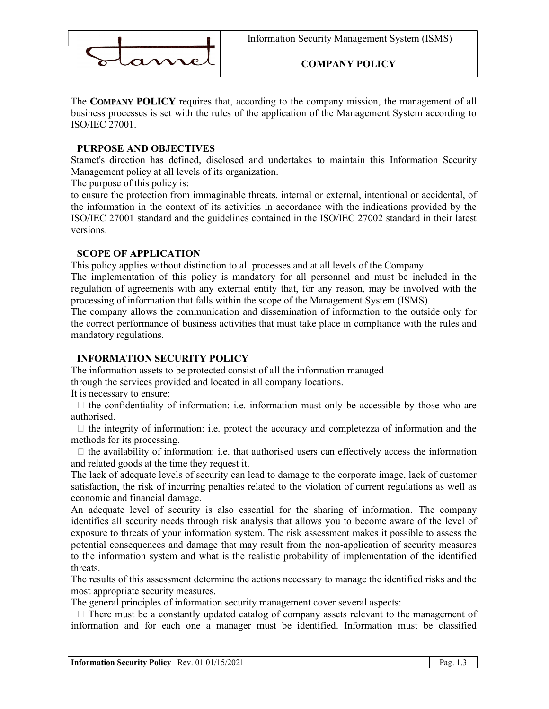

### COMPANY POLICY

The COMPANY POLICY requires that, according to the company mission, the management of all business processes is set with the rules of the application of the Management System according to ISO/IEC 27001.

## PURPOSE AND OBJECTIVES

Stamet's direction has defined, disclosed and undertakes to maintain this Information Security Management policy at all levels of its organization.

The purpose of this policy is:

to ensure the protection from immaginable threats, internal or external, intentional or accidental, of the information in the context of its activities in accordance with the indications provided by the ISO/IEC 27001 standard and the guidelines contained in the ISO/IEC 27002 standard in their latest versions.

### SCOPE OF APPLICATION

This policy applies without distinction to all processes and at all levels of the Company.

The implementation of this policy is mandatory for all personnel and must be included in the regulation of agreements with any external entity that, for any reason, may be involved with the processing of information that falls within the scope of the Management System (ISMS).

The company allows the communication and dissemination of information to the outside only for the correct performance of business activities that must take place in compliance with the rules and mandatory regulations.

# INFORMATION SECURITY POLICY

The information assets to be protected consist of all the information managed through the services provided and located in all company locations.

It is necessary to ensure:

 $\Box$  the confidentiality of information: i.e. information must only be accessible by those who are authorised.

 $\Box$  the integrity of information: i.e. protect the accuracy and completezza of information and the methods for its processing.

 $\Box$  the availability of information: i.e. that authorised users can effectively access the information and related goods at the time they request it.

The lack of adequate levels of security can lead to damage to the corporate image, lack of customer satisfaction, the risk of incurring penalties related to the violation of current regulations as well as economic and financial damage.

An adequate level of security is also essential for the sharing of information. The company identifies all security needs through risk analysis that allows you to become aware of the level of exposure to threats of your information system. The risk assessment makes it possible to assess the potential consequences and damage that may result from the non-application of security measures to the information system and what is the realistic probability of implementation of the identified threats.

The results of this assessment determine the actions necessary to manage the identified risks and the most appropriate security measures.

The general principles of information security management cover several aspects:

 $\Box$  There must be a constantly updated catalog of company assets relevant to the management of information and for each one a manager must be identified. Information must be classified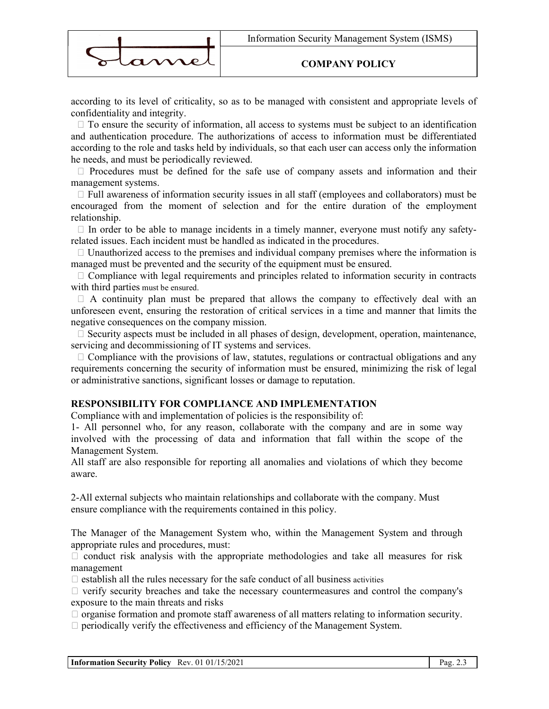

### COMPANY POLICY

according to its level of criticality, so as to be managed with consistent and appropriate levels of confidentiality and integrity.

 $\Box$  To ensure the security of information, all access to systems must be subject to an identification and authentication procedure. The authorizations of access to information must be differentiated according to the role and tasks held by individuals, so that each user can access only the information he needs, and must be periodically reviewed.

 $\Box$  Procedures must be defined for the safe use of company assets and information and their management systems.

 $\Box$  Full awareness of information security issues in all staff (employees and collaborators) must be encouraged from the moment of selection and for the entire duration of the employment relationship.

 $\Box$  In order to be able to manage incidents in a timely manner, everyone must notify any safetyrelated issues. Each incident must be handled as indicated in the procedures.

 $\Box$  Unauthorized access to the premises and individual company premises where the information is managed must be prevented and the security of the equipment must be ensured.

 $\Box$  Compliance with legal requirements and principles related to information security in contracts with third parties must be ensured.

 $\Box$  A continuity plan must be prepared that allows the company to effectively deal with an unforeseen event, ensuring the restoration of critical services in a time and manner that limits the negative consequences on the company mission.

 $\Box$  Security aspects must be included in all phases of design, development, operation, maintenance, servicing and decommissioning of IT systems and services.

 $\Box$  Compliance with the provisions of law, statutes, regulations or contractual obligations and any requirements concerning the security of information must be ensured, minimizing the risk of legal or administrative sanctions, significant losses or damage to reputation.

#### RESPONSIBILITY FOR COMPLIANCE AND IMPLEMENTATION

Compliance with and implementation of policies is the responsibility of:

1- All personnel who, for any reason, collaborate with the company and are in some way involved with the processing of data and information that fall within the scope of the Management System.

All staff are also responsible for reporting all anomalies and violations of which they become aware.

2-All external subjects who maintain relationships and collaborate with the company. Must ensure compliance with the requirements contained in this policy.

The Manager of the Management System who, within the Management System and through appropriate rules and procedures, must:

 $\Box$  conduct risk analysis with the appropriate methodologies and take all measures for risk management

 $\Box$  establish all the rules necessary for the safe conduct of all business activities

 $\Box$  verify security breaches and take the necessary countermeasures and control the company's exposure to the main threats and risks

 $\Box$  organise formation and promote staff awareness of all matters relating to information security.

 $\Box$  periodically verify the effectiveness and efficiency of the Management System.